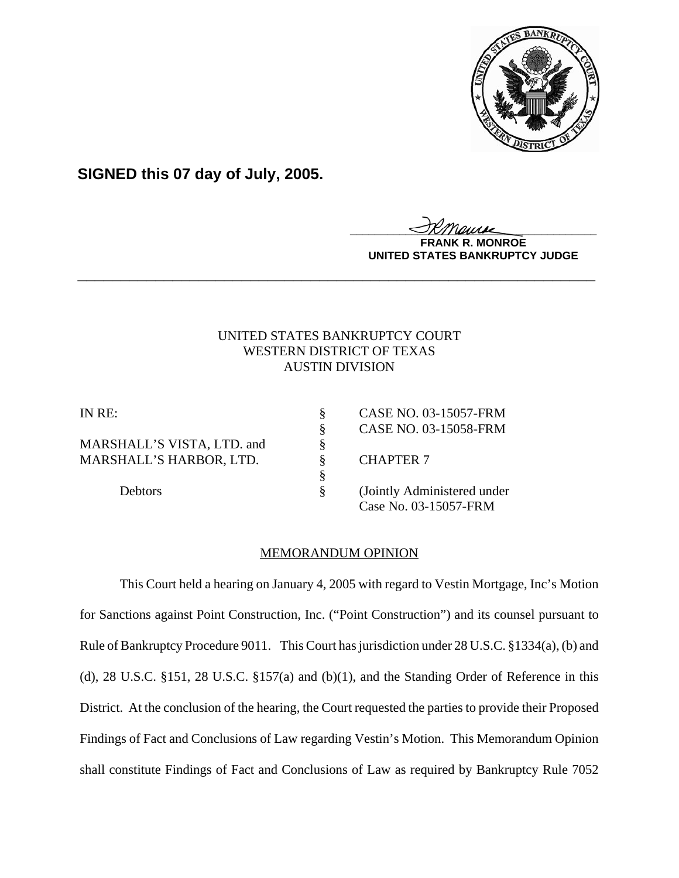

**SIGNED this 07 day of July, 2005.**

<u>IKThemse</u>

**MONROE UNITED STATES BANKRUPTCY JUDGE**

# UNITED STATES BANKRUPTCY COURT WESTERN DISTRICT OF TEXAS AUSTIN DIVISION

**\_\_\_\_\_\_\_\_\_\_\_\_\_\_\_\_\_\_\_\_\_\_\_\_\_\_\_\_\_\_\_\_\_\_\_\_\_\_\_\_\_\_\_\_\_\_\_\_\_\_\_\_\_\_\_\_\_\_\_\_**

MARSHALL'S VISTA, LTD. and  $\frac{\$ }{}<br>MARSHALL'S HARBOR, LTD.  $\frac{}{}$ MARSHALL'S HARBOR, LTD.  $\S$  CHAPTER 7

IN RE: § CASE NO. 03-15057-FRM § CASE NO. 03-15058-FRM

Debtors § (Jointly Administered under Case No. 03-15057-FRM

# MEMORANDUM OPINION

§

This Court held a hearing on January 4, 2005 with regard to Vestin Mortgage, Inc's Motion for Sanctions against Point Construction, Inc. ("Point Construction") and its counsel pursuant to Rule of Bankruptcy Procedure 9011. This Court has jurisdiction under 28 U.S.C. §1334(a), (b) and (d), 28 U.S.C. §151, 28 U.S.C. §157(a) and (b)(1), and the Standing Order of Reference in this District. At the conclusion of the hearing, the Court requested the parties to provide their Proposed Findings of Fact and Conclusions of Law regarding Vestin's Motion. This Memorandum Opinion shall constitute Findings of Fact and Conclusions of Law as required by Bankruptcy Rule 7052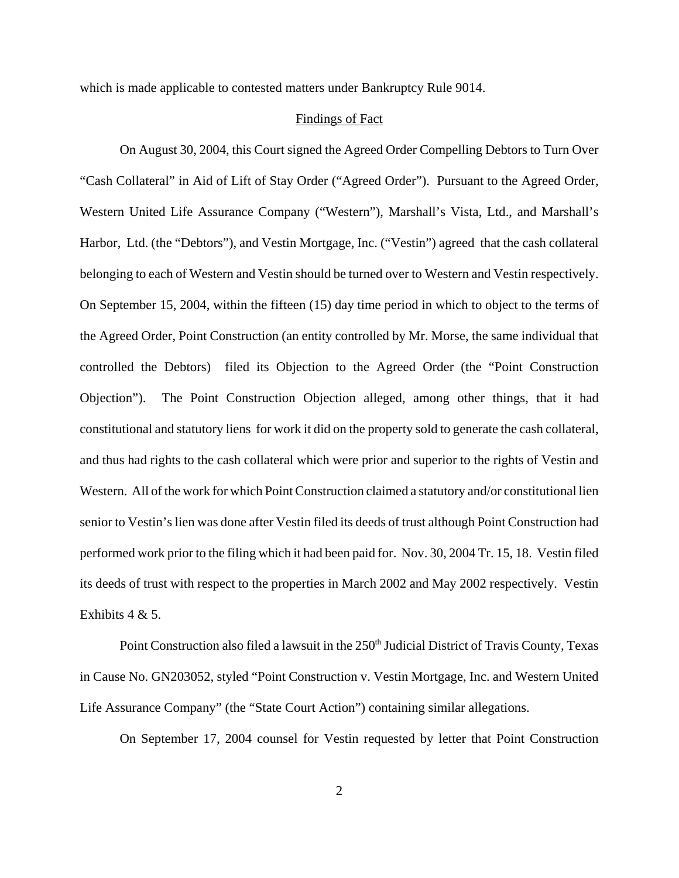which is made applicable to contested matters under Bankruptcy Rule 9014.

### Findings of Fact

On August 30, 2004, this Court signed the Agreed Order Compelling Debtors to Turn Over "Cash Collateral" in Aid of Lift of Stay Order ("Agreed Order"). Pursuant to the Agreed Order, Western United Life Assurance Company ("Western"), Marshall's Vista, Ltd., and Marshall's Harbor, Ltd. (the "Debtors"), and Vestin Mortgage, Inc. ("Vestin") agreed that the cash collateral belonging to each of Western and Vestin should be turned over to Western and Vestin respectively. On September 15, 2004, within the fifteen (15) day time period in which to object to the terms of the Agreed Order, Point Construction (an entity controlled by Mr. Morse, the same individual that controlled the Debtors) filed its Objection to the Agreed Order (the "Point Construction Objection"). The Point Construction Objection alleged, among other things, that it had constitutional and statutory liens for work it did on the property sold to generate the cash collateral, and thus had rights to the cash collateral which were prior and superior to the rights of Vestin and Western. All of the work for which Point Construction claimed a statutory and/or constitutional lien senior to Vestin's lien was done after Vestin filed its deeds of trust although Point Construction had performed work prior to the filing which it had been paid for. Nov. 30, 2004 Tr. 15, 18. Vestin filed its deeds of trust with respect to the properties in March 2002 and May 2002 respectively. Vestin Exhibits  $4 & 5$ .

Point Construction also filed a lawsuit in the 250<sup>th</sup> Judicial District of Travis County, Texas in Cause No. GN203052, styled "Point Construction v. Vestin Mortgage, Inc. and Western United Life Assurance Company" (the "State Court Action") containing similar allegations.

On September 17, 2004 counsel for Vestin requested by letter that Point Construction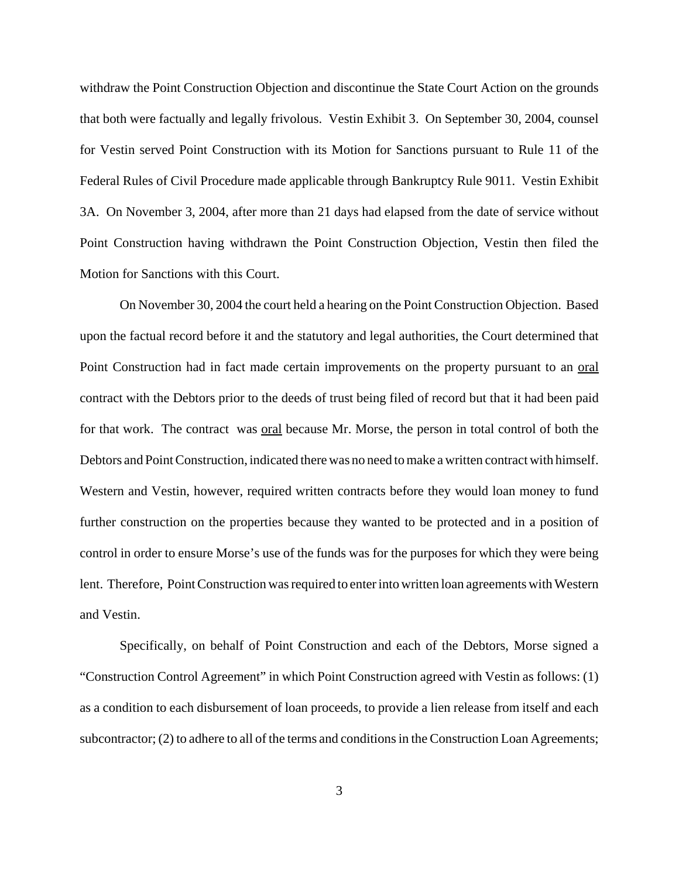withdraw the Point Construction Objection and discontinue the State Court Action on the grounds that both were factually and legally frivolous. Vestin Exhibit 3. On September 30, 2004, counsel for Vestin served Point Construction with its Motion for Sanctions pursuant to Rule 11 of the Federal Rules of Civil Procedure made applicable through Bankruptcy Rule 9011. Vestin Exhibit 3A. On November 3, 2004, after more than 21 days had elapsed from the date of service without Point Construction having withdrawn the Point Construction Objection, Vestin then filed the Motion for Sanctions with this Court.

On November 30, 2004 the court held a hearing on the Point Construction Objection. Based upon the factual record before it and the statutory and legal authorities, the Court determined that Point Construction had in fact made certain improvements on the property pursuant to an oral contract with the Debtors prior to the deeds of trust being filed of record but that it had been paid for that work. The contract was oral because Mr. Morse, the person in total control of both the Debtors and Point Construction, indicated there was no need to make a written contract with himself. Western and Vestin, however, required written contracts before they would loan money to fund further construction on the properties because they wanted to be protected and in a position of control in order to ensure Morse's use of the funds was for the purposes for which they were being lent. Therefore, Point Construction was required to enter into written loan agreements with Western and Vestin.

Specifically, on behalf of Point Construction and each of the Debtors, Morse signed a "Construction Control Agreement" in which Point Construction agreed with Vestin as follows: (1) as a condition to each disbursement of loan proceeds, to provide a lien release from itself and each subcontractor; (2) to adhere to all of the terms and conditions in the Construction Loan Agreements;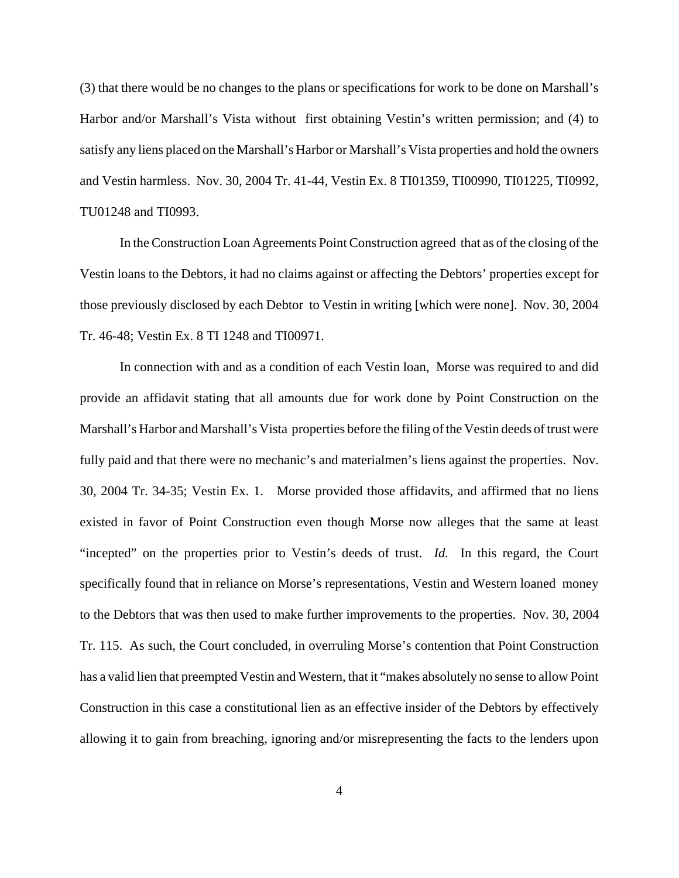(3) that there would be no changes to the plans or specifications for work to be done on Marshall's Harbor and/or Marshall's Vista without first obtaining Vestin's written permission; and (4) to satisfy any liens placed on the Marshall's Harbor or Marshall's Vista properties and hold the owners and Vestin harmless. Nov. 30, 2004 Tr. 41-44, Vestin Ex. 8 TI01359, TI00990, TI01225, TI0992, TU01248 and TI0993.

In the Construction Loan Agreements Point Construction agreed that as of the closing of the Vestin loans to the Debtors, it had no claims against or affecting the Debtors' properties except for those previously disclosed by each Debtor to Vestin in writing [which were none]. Nov. 30, 2004 Tr. 46-48; Vestin Ex. 8 TI 1248 and TI00971.

In connection with and as a condition of each Vestin loan, Morse was required to and did provide an affidavit stating that all amounts due for work done by Point Construction on the Marshall's Harbor and Marshall's Vista properties before the filing of the Vestin deeds of trust were fully paid and that there were no mechanic's and materialmen's liens against the properties. Nov. 30, 2004 Tr. 34-35; Vestin Ex. 1. Morse provided those affidavits, and affirmed that no liens existed in favor of Point Construction even though Morse now alleges that the same at least "incepted" on the properties prior to Vestin's deeds of trust. *Id.* In this regard, the Court specifically found that in reliance on Morse's representations, Vestin and Western loaned money to the Debtors that was then used to make further improvements to the properties. Nov. 30, 2004 Tr. 115. As such, the Court concluded, in overruling Morse's contention that Point Construction has a valid lien that preempted Vestin and Western, that it "makes absolutely no sense to allow Point Construction in this case a constitutional lien as an effective insider of the Debtors by effectively allowing it to gain from breaching, ignoring and/or misrepresenting the facts to the lenders upon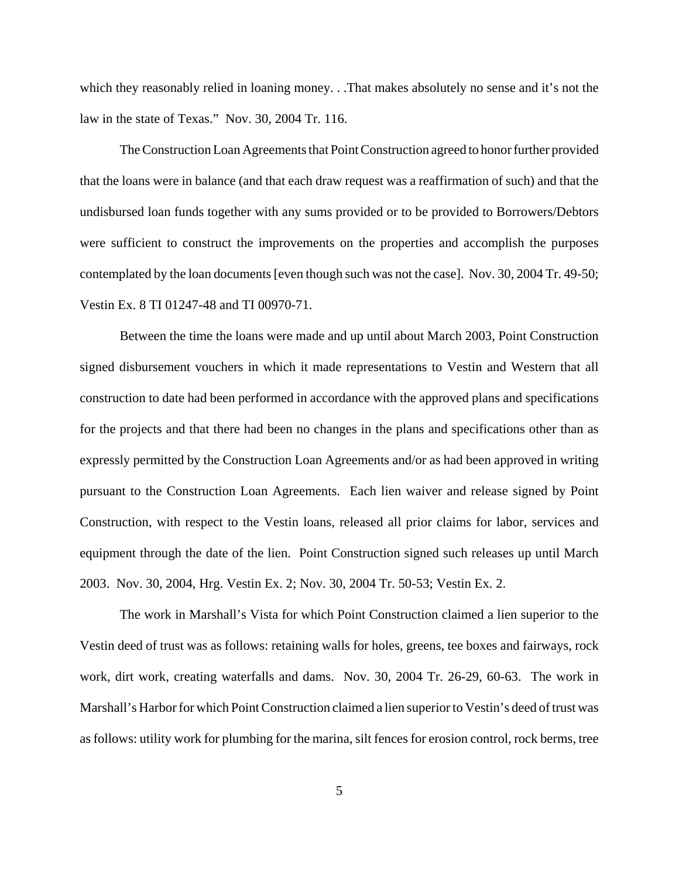which they reasonably relied in loaning money. . .That makes absolutely no sense and it's not the law in the state of Texas." Nov. 30, 2004 Tr. 116.

The Construction Loan Agreements that Point Construction agreed to honor further provided that the loans were in balance (and that each draw request was a reaffirmation of such) and that the undisbursed loan funds together with any sums provided or to be provided to Borrowers/Debtors were sufficient to construct the improvements on the properties and accomplish the purposes contemplated by the loan documents [even though such was not the case]. Nov. 30, 2004 Tr. 49-50; Vestin Ex. 8 TI 01247-48 and TI 00970-71.

Between the time the loans were made and up until about March 2003, Point Construction signed disbursement vouchers in which it made representations to Vestin and Western that all construction to date had been performed in accordance with the approved plans and specifications for the projects and that there had been no changes in the plans and specifications other than as expressly permitted by the Construction Loan Agreements and/or as had been approved in writing pursuant to the Construction Loan Agreements. Each lien waiver and release signed by Point Construction, with respect to the Vestin loans, released all prior claims for labor, services and equipment through the date of the lien. Point Construction signed such releases up until March 2003. Nov. 30, 2004, Hrg. Vestin Ex. 2; Nov. 30, 2004 Tr. 50-53; Vestin Ex. 2.

The work in Marshall's Vista for which Point Construction claimed a lien superior to the Vestin deed of trust was as follows: retaining walls for holes, greens, tee boxes and fairways, rock work, dirt work, creating waterfalls and dams. Nov. 30, 2004 Tr. 26-29, 60-63. The work in Marshall's Harbor for which Point Construction claimed a lien superior to Vestin's deed of trust was as follows: utility work for plumbing for the marina, silt fences for erosion control, rock berms, tree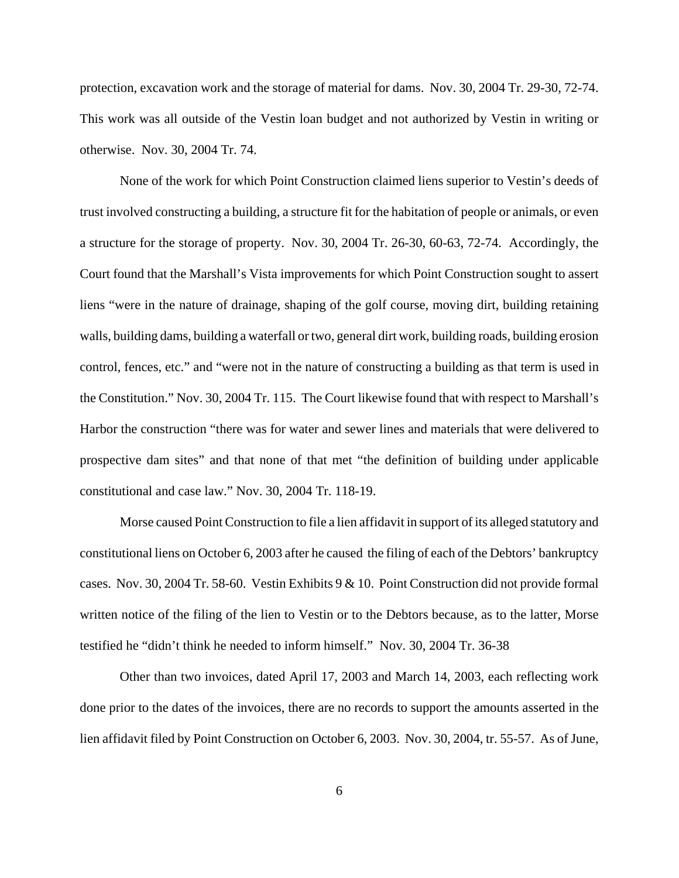protection, excavation work and the storage of material for dams. Nov. 30, 2004 Tr. 29-30, 72-74. This work was all outside of the Vestin loan budget and not authorized by Vestin in writing or otherwise. Nov. 30, 2004 Tr. 74.

None of the work for which Point Construction claimed liens superior to Vestin's deeds of trust involved constructing a building, a structure fit for the habitation of people or animals, or even a structure for the storage of property. Nov. 30, 2004 Tr. 26-30, 60-63, 72-74. Accordingly, the Court found that the Marshall's Vista improvements for which Point Construction sought to assert liens "were in the nature of drainage, shaping of the golf course, moving dirt, building retaining walls, building dams, building a waterfall or two, general dirt work, building roads, building erosion control, fences, etc." and "were not in the nature of constructing a building as that term is used in the Constitution." Nov. 30, 2004 Tr. 115. The Court likewise found that with respect to Marshall's Harbor the construction "there was for water and sewer lines and materials that were delivered to prospective dam sites" and that none of that met "the definition of building under applicable constitutional and case law." Nov. 30, 2004 Tr. 118-19.

Morse caused Point Construction to file a lien affidavit in support of its alleged statutory and constitutional liens on October 6, 2003 after he caused the filing of each of the Debtors' bankruptcy cases. Nov. 30, 2004 Tr. 58-60. Vestin Exhibits 9 & 10. Point Construction did not provide formal written notice of the filing of the lien to Vestin or to the Debtors because, as to the latter, Morse testified he "didn't think he needed to inform himself." Nov. 30, 2004 Tr. 36-38

Other than two invoices, dated April 17, 2003 and March 14, 2003, each reflecting work done prior to the dates of the invoices, there are no records to support the amounts asserted in the lien affidavit filed by Point Construction on October 6, 2003. Nov. 30, 2004, tr. 55-57. As of June,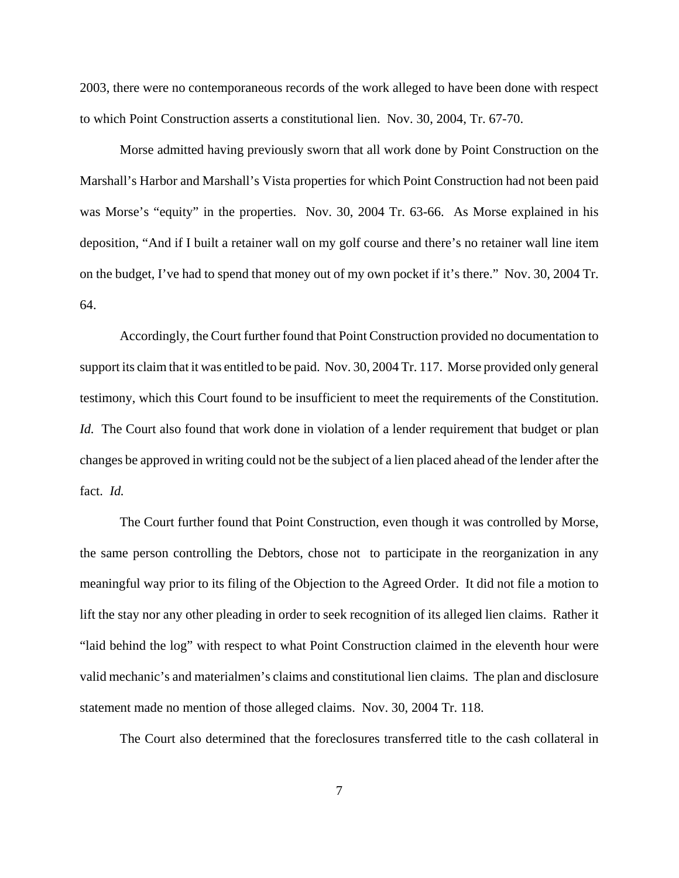2003, there were no contemporaneous records of the work alleged to have been done with respect to which Point Construction asserts a constitutional lien. Nov. 30, 2004, Tr. 67-70.

Morse admitted having previously sworn that all work done by Point Construction on the Marshall's Harbor and Marshall's Vista properties for which Point Construction had not been paid was Morse's "equity" in the properties. Nov. 30, 2004 Tr. 63-66. As Morse explained in his deposition, "And if I built a retainer wall on my golf course and there's no retainer wall line item on the budget, I've had to spend that money out of my own pocket if it's there." Nov. 30, 2004 Tr. 64.

Accordingly, the Court further found that Point Construction provided no documentation to support its claim that it was entitled to be paid. Nov. 30, 2004 Tr. 117. Morse provided only general testimony, which this Court found to be insufficient to meet the requirements of the Constitution. *Id.* The Court also found that work done in violation of a lender requirement that budget or plan changes be approved in writing could not be the subject of a lien placed ahead of the lender after the fact. *Id.*

The Court further found that Point Construction, even though it was controlled by Morse, the same person controlling the Debtors, chose not to participate in the reorganization in any meaningful way prior to its filing of the Objection to the Agreed Order. It did not file a motion to lift the stay nor any other pleading in order to seek recognition of its alleged lien claims. Rather it "laid behind the log" with respect to what Point Construction claimed in the eleventh hour were valid mechanic's and materialmen's claims and constitutional lien claims. The plan and disclosure statement made no mention of those alleged claims. Nov. 30, 2004 Tr. 118.

The Court also determined that the foreclosures transferred title to the cash collateral in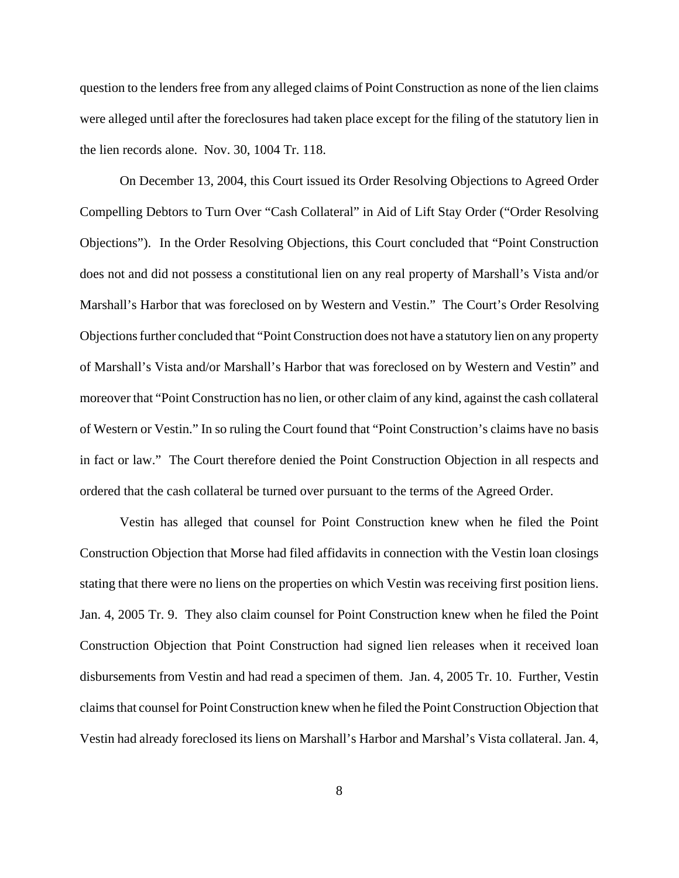question to the lenders free from any alleged claims of Point Construction as none of the lien claims were alleged until after the foreclosures had taken place except for the filing of the statutory lien in the lien records alone. Nov. 30, 1004 Tr. 118.

On December 13, 2004, this Court issued its Order Resolving Objections to Agreed Order Compelling Debtors to Turn Over "Cash Collateral" in Aid of Lift Stay Order ("Order Resolving Objections"). In the Order Resolving Objections, this Court concluded that "Point Construction does not and did not possess a constitutional lien on any real property of Marshall's Vista and/or Marshall's Harbor that was foreclosed on by Western and Vestin." The Court's Order Resolving Objections further concluded that "Point Construction does not have a statutory lien on any property of Marshall's Vista and/or Marshall's Harbor that was foreclosed on by Western and Vestin" and moreover that "Point Construction has no lien, or other claim of any kind, against the cash collateral of Western or Vestin." In so ruling the Court found that "Point Construction's claims have no basis in fact or law." The Court therefore denied the Point Construction Objection in all respects and ordered that the cash collateral be turned over pursuant to the terms of the Agreed Order.

Vestin has alleged that counsel for Point Construction knew when he filed the Point Construction Objection that Morse had filed affidavits in connection with the Vestin loan closings stating that there were no liens on the properties on which Vestin was receiving first position liens. Jan. 4, 2005 Tr. 9. They also claim counsel for Point Construction knew when he filed the Point Construction Objection that Point Construction had signed lien releases when it received loan disbursements from Vestin and had read a specimen of them. Jan. 4, 2005 Tr. 10. Further, Vestin claims that counsel for Point Construction knew when he filed the Point Construction Objection that Vestin had already foreclosed its liens on Marshall's Harbor and Marshal's Vista collateral. Jan. 4,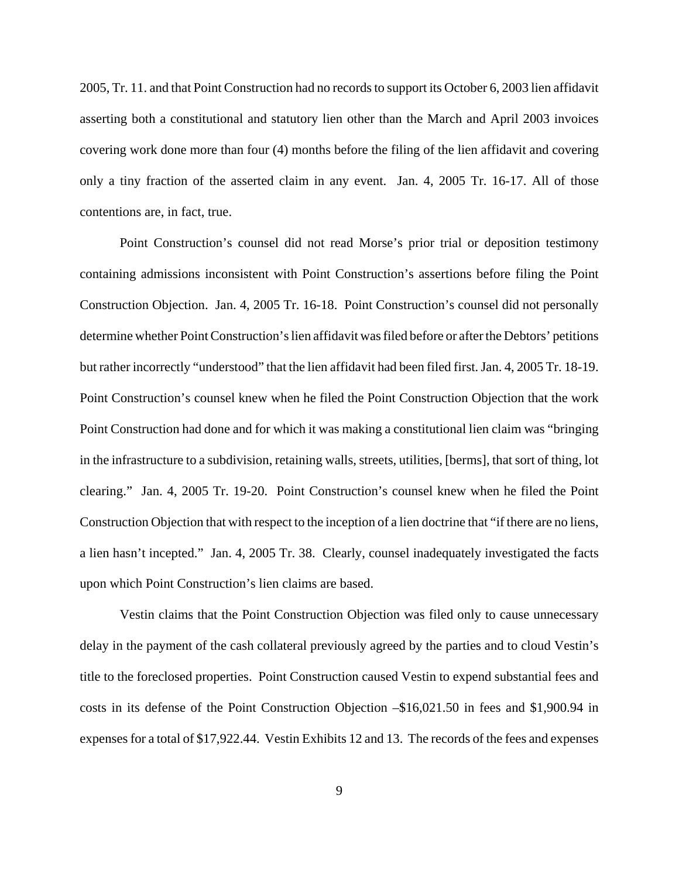2005, Tr. 11. and that Point Construction had no records to support its October 6, 2003 lien affidavit asserting both a constitutional and statutory lien other than the March and April 2003 invoices covering work done more than four (4) months before the filing of the lien affidavit and covering only a tiny fraction of the asserted claim in any event. Jan. 4, 2005 Tr. 16-17. All of those contentions are, in fact, true.

Point Construction's counsel did not read Morse's prior trial or deposition testimony containing admissions inconsistent with Point Construction's assertions before filing the Point Construction Objection. Jan. 4, 2005 Tr. 16-18. Point Construction's counsel did not personally determine whether Point Construction's lien affidavit was filed before or after the Debtors' petitions but rather incorrectly "understood" that the lien affidavit had been filed first. Jan. 4, 2005 Tr. 18-19. Point Construction's counsel knew when he filed the Point Construction Objection that the work Point Construction had done and for which it was making a constitutional lien claim was "bringing in the infrastructure to a subdivision, retaining walls, streets, utilities, [berms], that sort of thing, lot clearing." Jan. 4, 2005 Tr. 19-20. Point Construction's counsel knew when he filed the Point Construction Objection that with respect to the inception of a lien doctrine that "if there are no liens, a lien hasn't incepted." Jan. 4, 2005 Tr. 38. Clearly, counsel inadequately investigated the facts upon which Point Construction's lien claims are based.

Vestin claims that the Point Construction Objection was filed only to cause unnecessary delay in the payment of the cash collateral previously agreed by the parties and to cloud Vestin's title to the foreclosed properties. Point Construction caused Vestin to expend substantial fees and costs in its defense of the Point Construction Objection –\$16,021.50 in fees and \$1,900.94 in expenses for a total of \$17,922.44. Vestin Exhibits 12 and 13. The records of the fees and expenses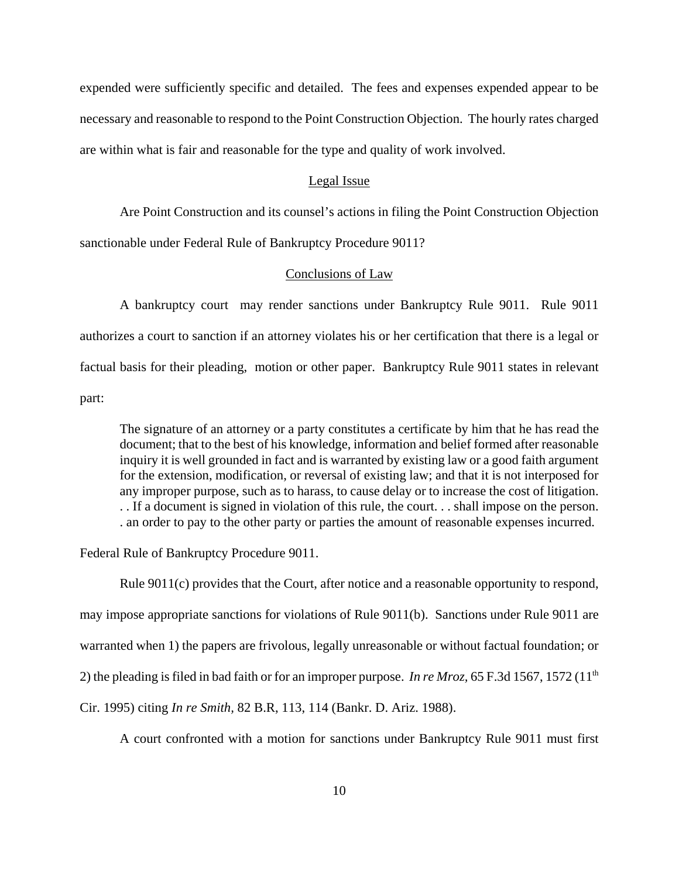expended were sufficiently specific and detailed. The fees and expenses expended appear to be necessary and reasonable to respond to the Point Construction Objection. The hourly rates charged are within what is fair and reasonable for the type and quality of work involved.

#### Legal Issue

Are Point Construction and its counsel's actions in filing the Point Construction Objection

sanctionable under Federal Rule of Bankruptcy Procedure 9011?

## Conclusions of Law

A bankruptcy court may render sanctions under Bankruptcy Rule 9011. Rule 9011 authorizes a court to sanction if an attorney violates his or her certification that there is a legal or factual basis for their pleading, motion or other paper. Bankruptcy Rule 9011 states in relevant part:

The signature of an attorney or a party constitutes a certificate by him that he has read the document; that to the best of his knowledge, information and belief formed after reasonable inquiry it is well grounded in fact and is warranted by existing law or a good faith argument for the extension, modification, or reversal of existing law; and that it is not interposed for any improper purpose, such as to harass, to cause delay or to increase the cost of litigation. . . If a document is signed in violation of this rule, the court. . . shall impose on the person. . an order to pay to the other party or parties the amount of reasonable expenses incurred.

Federal Rule of Bankruptcy Procedure 9011.

Rule 9011(c) provides that the Court, after notice and a reasonable opportunity to respond, may impose appropriate sanctions for violations of Rule 9011(b). Sanctions under Rule 9011 are warranted when 1) the papers are frivolous, legally unreasonable or without factual foundation; or 2) the pleading is filed in bad faith or for an improper purpose. *In re Mroz*, 65 F.3d 1567, 1572 (11<sup>th</sup>) Cir. 1995) citing *In re Smith,* 82 B.R, 113, 114 (Bankr. D. Ariz. 1988).

A court confronted with a motion for sanctions under Bankruptcy Rule 9011 must first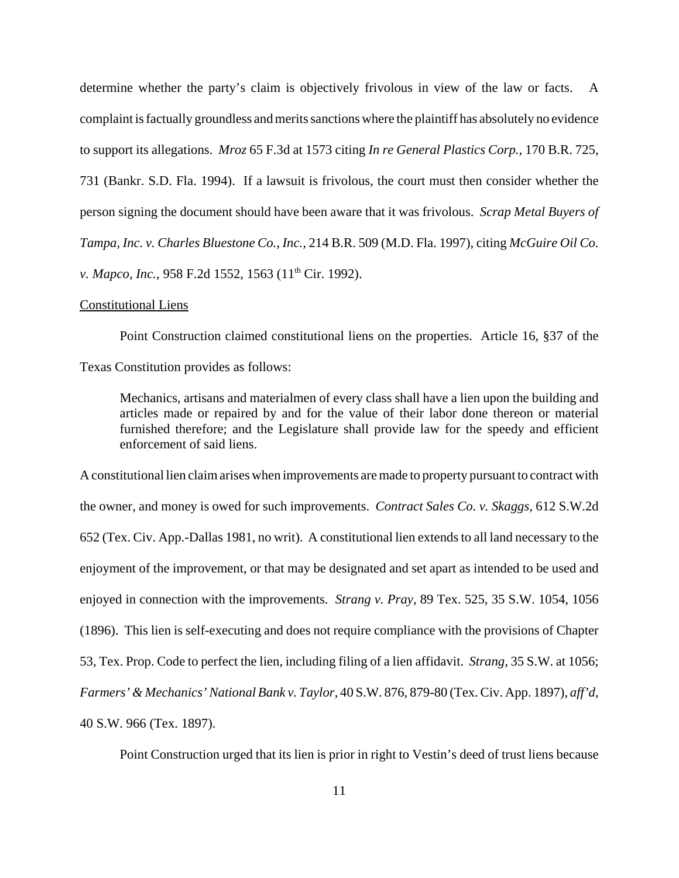determine whether the party's claim is objectively frivolous in view of the law or facts. A complaint is factually groundless and merits sanctions where the plaintiff has absolutely no evidence to support its allegations. *Mroz* 65 F.3d at 1573 citing *In re General Plastics Corp.,* 170 B.R. 725, 731 (Bankr. S.D. Fla. 1994). If a lawsuit is frivolous, the court must then consider whether the person signing the document should have been aware that it was frivolous. *Scrap Metal Buyers of Tampa, Inc. v. Charles Bluestone Co., Inc.,* 214 B.R. 509 (M.D. Fla. 1997), citing *McGuire Oil Co. v. Mapco, Inc., 958 F.2d 1552, 1563 (11<sup>th</sup> Cir. 1992).* 

### Constitutional Liens

Point Construction claimed constitutional liens on the properties. Article 16, §37 of the

Texas Constitution provides as follows:

Mechanics, artisans and materialmen of every class shall have a lien upon the building and articles made or repaired by and for the value of their labor done thereon or material furnished therefore; and the Legislature shall provide law for the speedy and efficient enforcement of said liens.

A constitutional lien claim arises when improvements are made to property pursuant to contract with the owner, and money is owed for such improvements. *Contract Sales Co. v. Skaggs,* 612 S.W.2d 652 (Tex. Civ. App.-Dallas 1981, no writ). A constitutional lien extends to all land necessary to the enjoyment of the improvement, or that may be designated and set apart as intended to be used and enjoyed in connection with the improvements. *Strang v. Pray,* 89 Tex. 525, 35 S.W. 1054, 1056 (1896). This lien is self-executing and does not require compliance with the provisions of Chapter 53, Tex. Prop. Code to perfect the lien, including filing of a lien affidavit. *Strang,* 35 S.W. at 1056; *Farmers' & Mechanics' National Bank v. Taylor,* 40 S.W. 876, 879-80 (Tex. Civ. App. 1897), *aff'd*, 40 S.W. 966 (Tex. 1897).

Point Construction urged that its lien is prior in right to Vestin's deed of trust liens because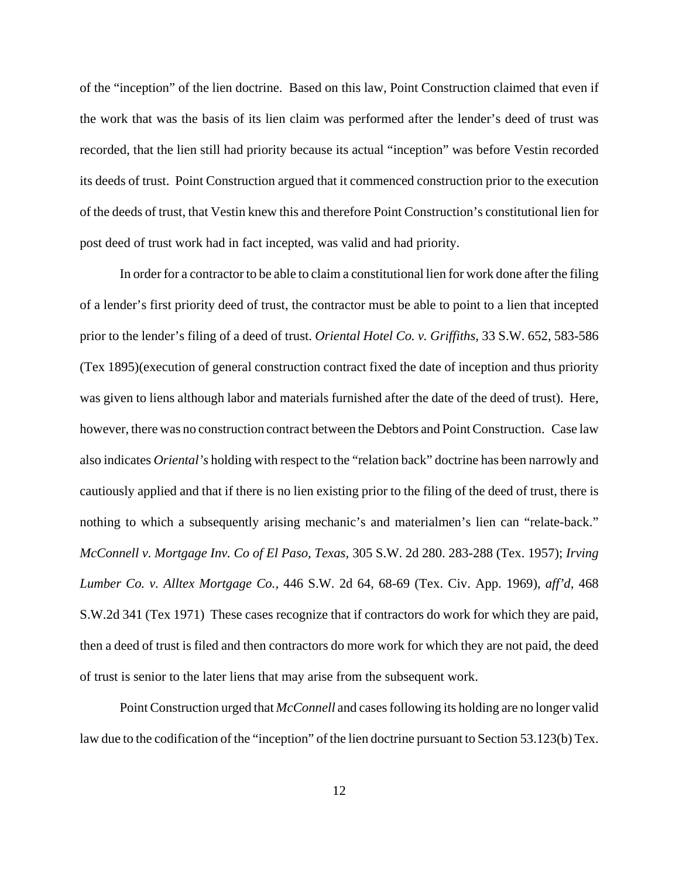of the "inception" of the lien doctrine. Based on this law, Point Construction claimed that even if the work that was the basis of its lien claim was performed after the lender's deed of trust was recorded, that the lien still had priority because its actual "inception" was before Vestin recorded its deeds of trust. Point Construction argued that it commenced construction prior to the execution of the deeds of trust, that Vestin knew this and therefore Point Construction's constitutional lien for post deed of trust work had in fact incepted, was valid and had priority.

In order for a contractor to be able to claim a constitutional lien for work done after the filing of a lender's first priority deed of trust, the contractor must be able to point to a lien that incepted prior to the lender's filing of a deed of trust. *Oriental Hotel Co. v. Griffiths,* 33 S.W. 652, 583-586 (Tex 1895)(execution of general construction contract fixed the date of inception and thus priority was given to liens although labor and materials furnished after the date of the deed of trust). Here, however, there was no construction contract between the Debtors and Point Construction. Case law also indicates *Oriental's* holding with respect to the "relation back" doctrine has been narrowly and cautiously applied and that if there is no lien existing prior to the filing of the deed of trust, there is nothing to which a subsequently arising mechanic's and materialmen's lien can "relate-back." *McConnell v. Mortgage Inv. Co of El Paso, Texas,* 305 S.W. 2d 280. 283-288 (Tex. 1957); *Irving Lumber Co. v. Alltex Mortgage Co.,* 446 S.W. 2d 64, 68-69 (Tex. Civ. App. 1969), *aff'd,* 468 S.W.2d 341 (Tex 1971) These cases recognize that if contractors do work for which they are paid, then a deed of trust is filed and then contractors do more work for which they are not paid, the deed of trust is senior to the later liens that may arise from the subsequent work.

Point Construction urged that *McConnell* and cases following its holding are no longer valid law due to the codification of the "inception" of the lien doctrine pursuant to Section 53.123(b) Tex.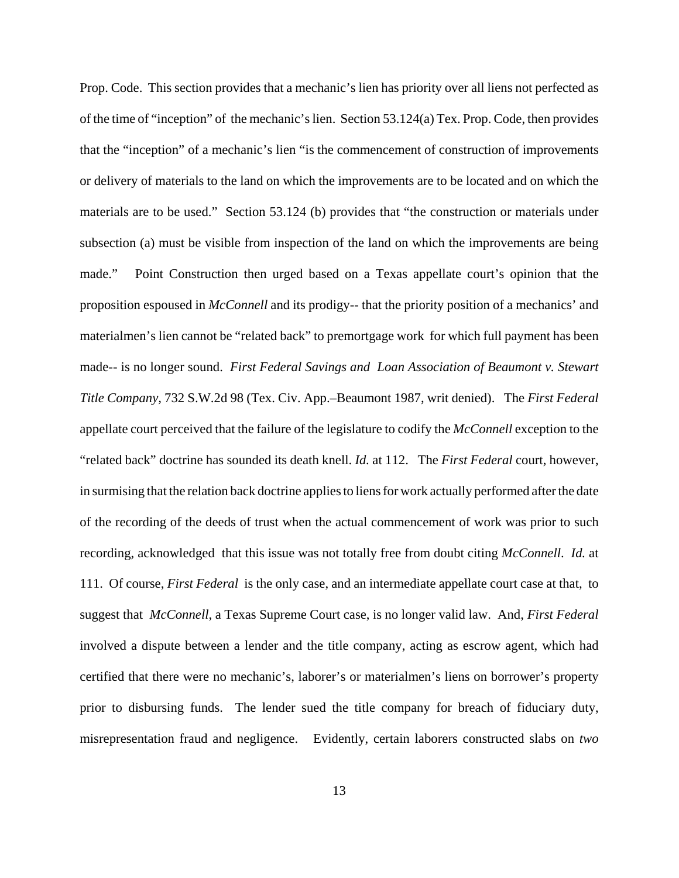Prop. Code. This section provides that a mechanic's lien has priority over all liens not perfected as of the time of "inception" of the mechanic's lien. Section 53.124(a) Tex. Prop. Code, then provides that the "inception" of a mechanic's lien "is the commencement of construction of improvements or delivery of materials to the land on which the improvements are to be located and on which the materials are to be used." Section 53.124 (b) provides that "the construction or materials under subsection (a) must be visible from inspection of the land on which the improvements are being made." Point Construction then urged based on a Texas appellate court's opinion that the proposition espoused in *McConnell* and its prodigy-- that the priority position of a mechanics' and materialmen's lien cannot be "related back" to premortgage work for which full payment has been made-- is no longer sound. *First Federal Savings and Loan Association of Beaumont v. Stewart Title Company,* 732 S.W.2d 98 (Tex. Civ. App.–Beaumont 1987, writ denied). The *First Federal* appellate court perceived that the failure of the legislature to codify the *McConnell* exception to the "related back" doctrine has sounded its death knell. *Id.* at 112. The *First Federal* court, however, in surmising that the relation back doctrine applies to liens for work actually performed after the date of the recording of the deeds of trust when the actual commencement of work was prior to such recording, acknowledged that this issue was not totally free from doubt citing *McConnell*. *Id.* at 111. Of course, *First Federal* is the only case, and an intermediate appellate court case at that, to suggest that *McConnell*, a Texas Supreme Court case, is no longer valid law. And, *First Federal* involved a dispute between a lender and the title company, acting as escrow agent, which had certified that there were no mechanic's, laborer's or materialmen's liens on borrower's property prior to disbursing funds. The lender sued the title company for breach of fiduciary duty, misrepresentation fraud and negligence.Evidently, certain laborers constructed slabs on *two*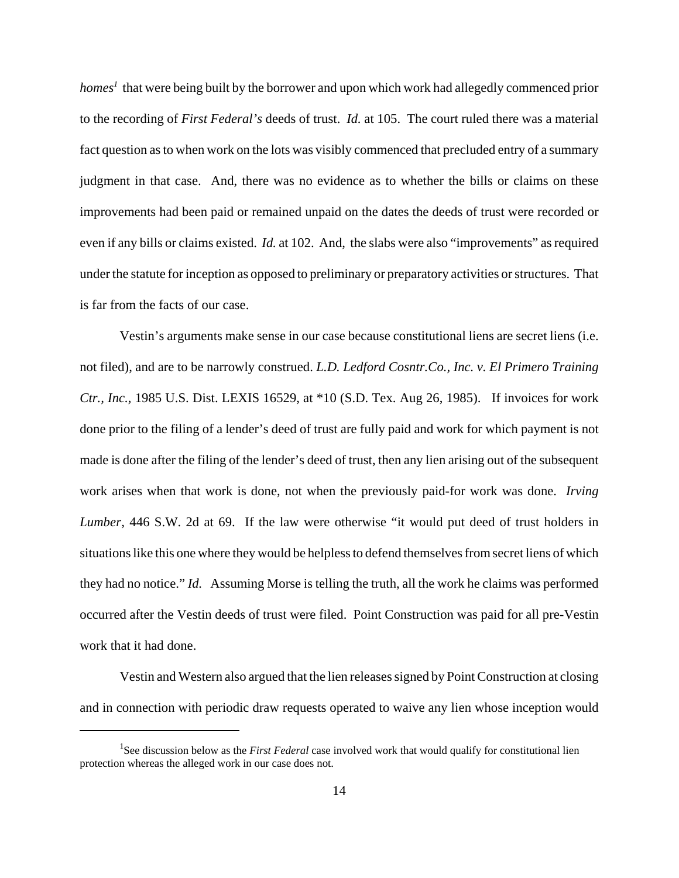homes<sup>1</sup> that were being built by the borrower and upon which work had allegedly commenced prior to the recording of *First Federal's* deeds of trust. *Id.* at 105. The court ruled there was a material fact question as to when work on the lots was visibly commenced that precluded entry of a summary judgment in that case. And, there was no evidence as to whether the bills or claims on these improvements had been paid or remained unpaid on the dates the deeds of trust were recorded or even if any bills or claims existed. *Id.* at 102. And, the slabs were also "improvements" as required under the statute for inception as opposed to preliminary or preparatory activities or structures. That is far from the facts of our case.

Vestin's arguments make sense in our case because constitutional liens are secret liens (i.e. not filed), and are to be narrowly construed. *L.D. Ledford Cosntr.Co., Inc. v. El Primero Training Ctr., Inc.,* 1985 U.S. Dist. LEXIS 16529, at \*10 (S.D. Tex. Aug 26, 1985). If invoices for work done prior to the filing of a lender's deed of trust are fully paid and work for which payment is not made is done after the filing of the lender's deed of trust, then any lien arising out of the subsequent work arises when that work is done, not when the previously paid-for work was done. *Irving Lumber,* 446 S.W. 2d at 69. If the law were otherwise "it would put deed of trust holders in situations like this one where they would be helpless to defend themselves from secret liens of which they had no notice." *Id.* Assuming Morse is telling the truth, all the work he claims was performed occurred after the Vestin deeds of trust were filed. Point Construction was paid for all pre-Vestin work that it had done.

Vestin and Western also argued that the lien releases signed by Point Construction at closing and in connection with periodic draw requests operated to waive any lien whose inception would

<sup>&</sup>lt;sup>1</sup>See discussion below as the *First Federal* case involved work that would qualify for constitutional lien protection whereas the alleged work in our case does not.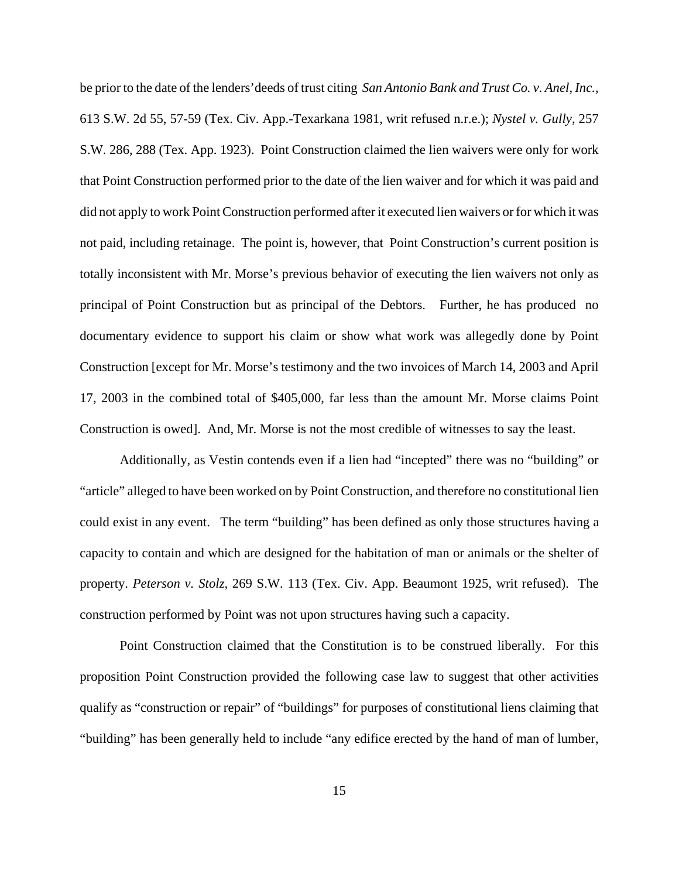be prior to the date of the lenders'deeds of trust citing *San Antonio Bank and Trust Co. v. Anel, Inc.,* 613 S.W. 2d 55, 57-59 (Tex. Civ. App.-Texarkana 1981, writ refused n.r.e.); *Nystel v. Gully,* 257 S.W. 286, 288 (Tex. App. 1923). Point Construction claimed the lien waivers were only for work that Point Construction performed prior to the date of the lien waiver and for which it was paid and did not apply to work Point Construction performed after it executed lien waivers or for which it was not paid, including retainage. The point is, however, that Point Construction's current position is totally inconsistent with Mr. Morse's previous behavior of executing the lien waivers not only as principal of Point Construction but as principal of the Debtors. Further, he has produced no documentary evidence to support his claim or show what work was allegedly done by Point Construction [except for Mr. Morse's testimony and the two invoices of March 14, 2003 and April 17, 2003 in the combined total of \$405,000, far less than the amount Mr. Morse claims Point Construction is owed]. And, Mr. Morse is not the most credible of witnesses to say the least.

Additionally, as Vestin contends even if a lien had "incepted" there was no "building" or "article" alleged to have been worked on by Point Construction, and therefore no constitutional lien could exist in any event. The term "building" has been defined as only those structures having a capacity to contain and which are designed for the habitation of man or animals or the shelter of property. *Peterson v. Stolz,* 269 S.W. 113 (Tex. Civ. App. Beaumont 1925, writ refused). The construction performed by Point was not upon structures having such a capacity.

Point Construction claimed that the Constitution is to be construed liberally. For this proposition Point Construction provided the following case law to suggest that other activities qualify as "construction or repair" of "buildings" for purposes of constitutional liens claiming that "building" has been generally held to include "any edifice erected by the hand of man of lumber,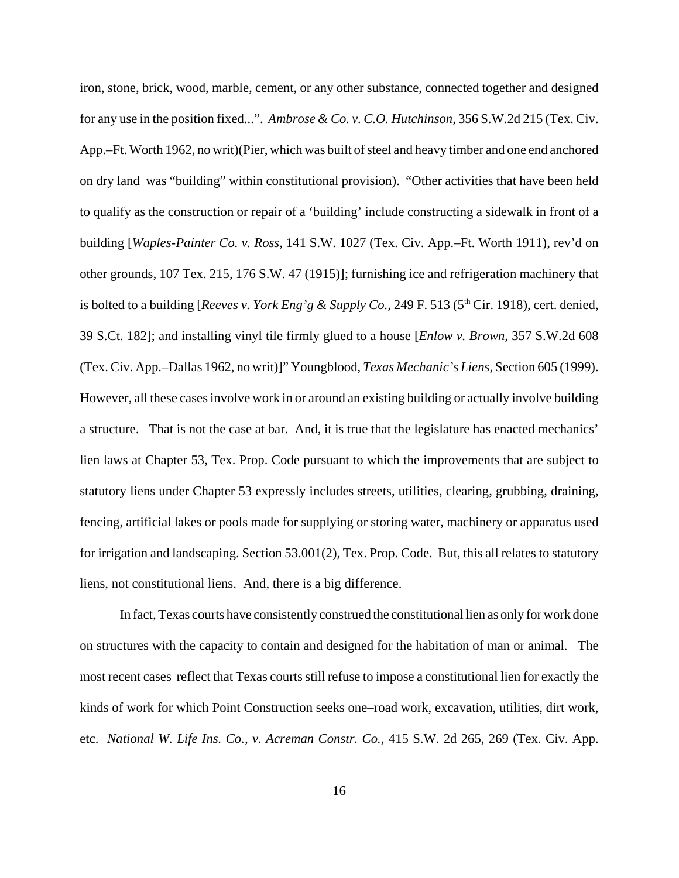iron, stone, brick, wood, marble, cement, or any other substance, connected together and designed for any use in the position fixed...". *Ambrose & Co. v. C.O. Hutchinson,* 356 S.W.2d 215 (Tex. Civ. App.–Ft. Worth 1962, no writ)(Pier, which was built of steel and heavy timber and one end anchored on dry land was "building" within constitutional provision). "Other activities that have been held to qualify as the construction or repair of a 'building' include constructing a sidewalk in front of a building [*Waples-Painter Co. v. Ross,* 141 S.W. 1027 (Tex. Civ. App.–Ft. Worth 1911), rev'd on other grounds, 107 Tex. 215, 176 S.W. 47 (1915)]; furnishing ice and refrigeration machinery that is bolted to a building [*Reeves v. York Eng'g & Supply Co.*, 249 F. 513 (5<sup>th</sup> Cir. 1918), cert. denied, 39 S.Ct. 182]; and installing vinyl tile firmly glued to a house [*Enlow v. Brown,* 357 S.W.2d 608 (Tex. Civ. App.–Dallas 1962, no writ)]" Youngblood, *Texas Mechanic's Liens,* Section 605 (1999). However, all these cases involve work in or around an existing building or actually involve building a structure. That is not the case at bar. And, it is true that the legislature has enacted mechanics' lien laws at Chapter 53, Tex. Prop. Code pursuant to which the improvements that are subject to statutory liens under Chapter 53 expressly includes streets, utilities, clearing, grubbing, draining, fencing, artificial lakes or pools made for supplying or storing water, machinery or apparatus used for irrigation and landscaping. Section 53.001(2), Tex. Prop. Code. But, this all relates to statutory liens, not constitutional liens. And, there is a big difference.

In fact, Texas courts have consistently construed the constitutional lien as only for work done on structures with the capacity to contain and designed for the habitation of man or animal. The most recent cases reflect that Texas courts still refuse to impose a constitutional lien for exactly the kinds of work for which Point Construction seeks one–road work, excavation, utilities, dirt work, etc. *National W. Life Ins. Co., v. Acreman Constr. Co.,* 415 S.W. 2d 265, 269 (Tex. Civ. App.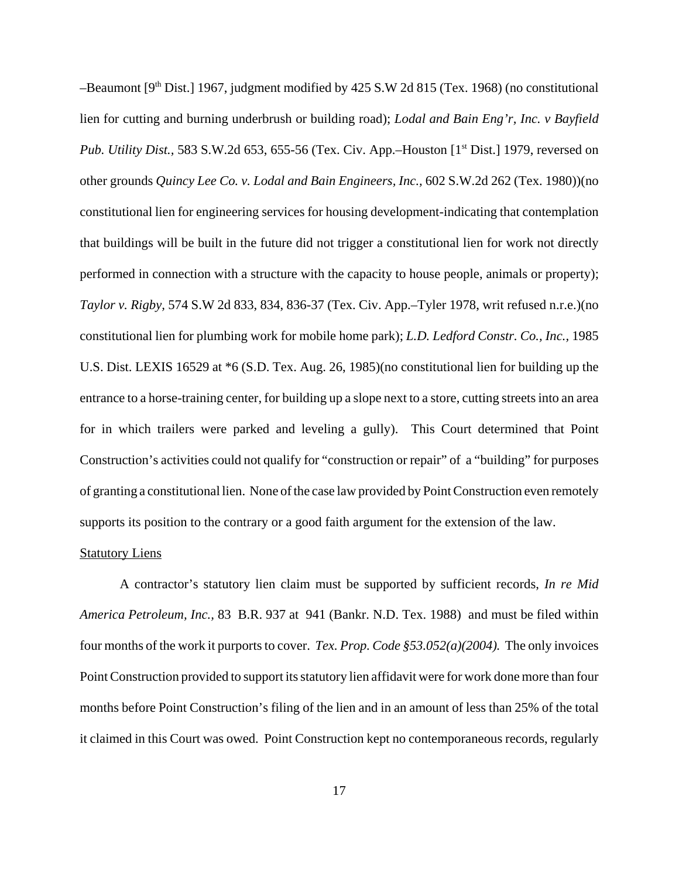–Beaumont  $[9<sup>th</sup> Dist.]$  1967, judgment modified by 425 S.W 2d 815 (Tex. 1968) (no constitutional lien for cutting and burning underbrush or building road); *Lodal and Bain Eng'r, Inc. v Bayfield Pub. Utility Dist.,* 583 S.W.2d 653, 655-56 (Tex. Civ. App.–Houston [1<sup>st</sup> Dist.] 1979, reversed on other grounds *Quincy Lee Co. v. Lodal and Bain Engineers, Inc.,* 602 S.W.2d 262 (Tex. 1980))(no constitutional lien for engineering services for housing development-indicating that contemplation that buildings will be built in the future did not trigger a constitutional lien for work not directly performed in connection with a structure with the capacity to house people, animals or property); *Taylor v. Rigby,* 574 S.W 2d 833, 834, 836-37 (Tex. Civ. App.–Tyler 1978, writ refused n.r.e.)(no constitutional lien for plumbing work for mobile home park); *L.D. Ledford Constr. Co., Inc.,* 1985 U.S. Dist. LEXIS 16529 at \*6 (S.D. Tex. Aug. 26, 1985)(no constitutional lien for building up the entrance to a horse-training center, for building up a slope next to a store, cutting streets into an area for in which trailers were parked and leveling a gully). This Court determined that Point Construction's activities could not qualify for "construction or repair" of a "building" for purposes of granting a constitutional lien. None of the case law provided by Point Construction even remotely supports its position to the contrary or a good faith argument for the extension of the law.

### **Statutory Liens**

A contractor's statutory lien claim must be supported by sufficient records, *In re Mid America Petroleum, Inc.,* 83 B.R. 937 at 941 (Bankr. N.D. Tex. 1988) and must be filed within four months of the work it purports to cover. *Tex. Prop. Code §53.052(a)(2004).* The only invoices Point Construction provided to support its statutory lien affidavit were for work done more than four months before Point Construction's filing of the lien and in an amount of less than 25% of the total it claimed in this Court was owed. Point Construction kept no contemporaneous records, regularly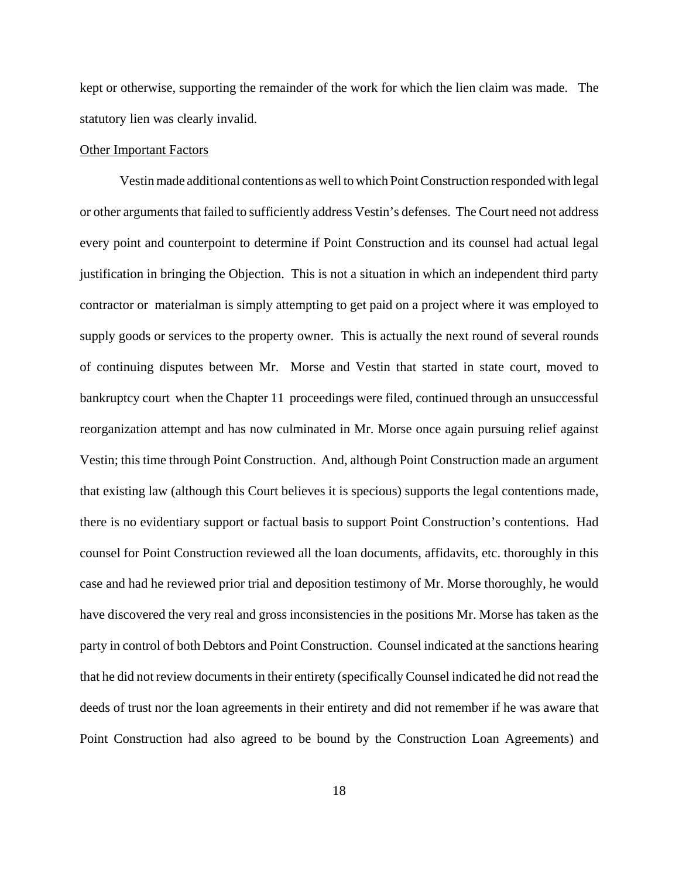kept or otherwise, supporting the remainder of the work for which the lien claim was made. The statutory lien was clearly invalid.

### Other Important Factors

Vestin made additional contentions as well to which Point Construction responded with legal or other arguments that failed to sufficiently address Vestin's defenses. The Court need not address every point and counterpoint to determine if Point Construction and its counsel had actual legal justification in bringing the Objection. This is not a situation in which an independent third party contractor or materialman is simply attempting to get paid on a project where it was employed to supply goods or services to the property owner. This is actually the next round of several rounds of continuing disputes between Mr. Morse and Vestin that started in state court, moved to bankruptcy court when the Chapter 11 proceedings were filed, continued through an unsuccessful reorganization attempt and has now culminated in Mr. Morse once again pursuing relief against Vestin; this time through Point Construction. And, although Point Construction made an argument that existing law (although this Court believes it is specious) supports the legal contentions made, there is no evidentiary support or factual basis to support Point Construction's contentions. Had counsel for Point Construction reviewed all the loan documents, affidavits, etc. thoroughly in this case and had he reviewed prior trial and deposition testimony of Mr. Morse thoroughly, he would have discovered the very real and gross inconsistencies in the positions Mr. Morse has taken as the party in control of both Debtors and Point Construction. Counsel indicated at the sanctions hearing that he did not review documents in their entirety (specifically Counsel indicated he did not read the deeds of trust nor the loan agreements in their entirety and did not remember if he was aware that Point Construction had also agreed to be bound by the Construction Loan Agreements) and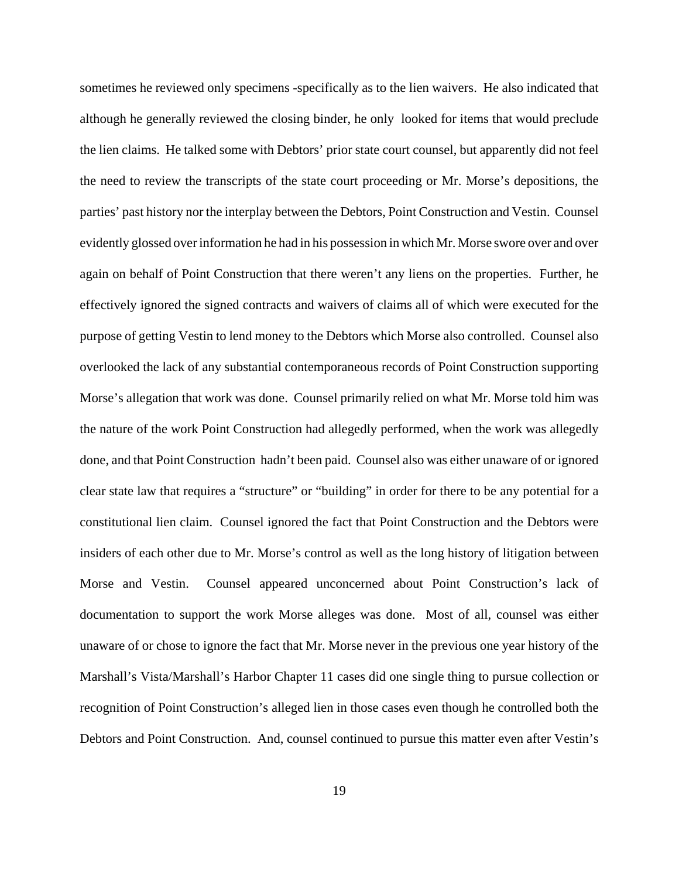sometimes he reviewed only specimens -specifically as to the lien waivers. He also indicated that although he generally reviewed the closing binder, he only looked for items that would preclude the lien claims. He talked some with Debtors' prior state court counsel, but apparently did not feel the need to review the transcripts of the state court proceeding or Mr. Morse's depositions, the parties' past history nor the interplay between the Debtors, Point Construction and Vestin. Counsel evidently glossed over information he had in his possession in which Mr. Morse swore over and over again on behalf of Point Construction that there weren't any liens on the properties. Further, he effectively ignored the signed contracts and waivers of claims all of which were executed for the purpose of getting Vestin to lend money to the Debtors which Morse also controlled. Counsel also overlooked the lack of any substantial contemporaneous records of Point Construction supporting Morse's allegation that work was done. Counsel primarily relied on what Mr. Morse told him was the nature of the work Point Construction had allegedly performed, when the work was allegedly done, and that Point Construction hadn't been paid. Counsel also was either unaware of or ignored clear state law that requires a "structure" or "building" in order for there to be any potential for a constitutional lien claim. Counsel ignored the fact that Point Construction and the Debtors were insiders of each other due to Mr. Morse's control as well as the long history of litigation between Morse and Vestin. Counsel appeared unconcerned about Point Construction's lack of documentation to support the work Morse alleges was done. Most of all, counsel was either unaware of or chose to ignore the fact that Mr. Morse never in the previous one year history of the Marshall's Vista/Marshall's Harbor Chapter 11 cases did one single thing to pursue collection or recognition of Point Construction's alleged lien in those cases even though he controlled both the Debtors and Point Construction. And, counsel continued to pursue this matter even after Vestin's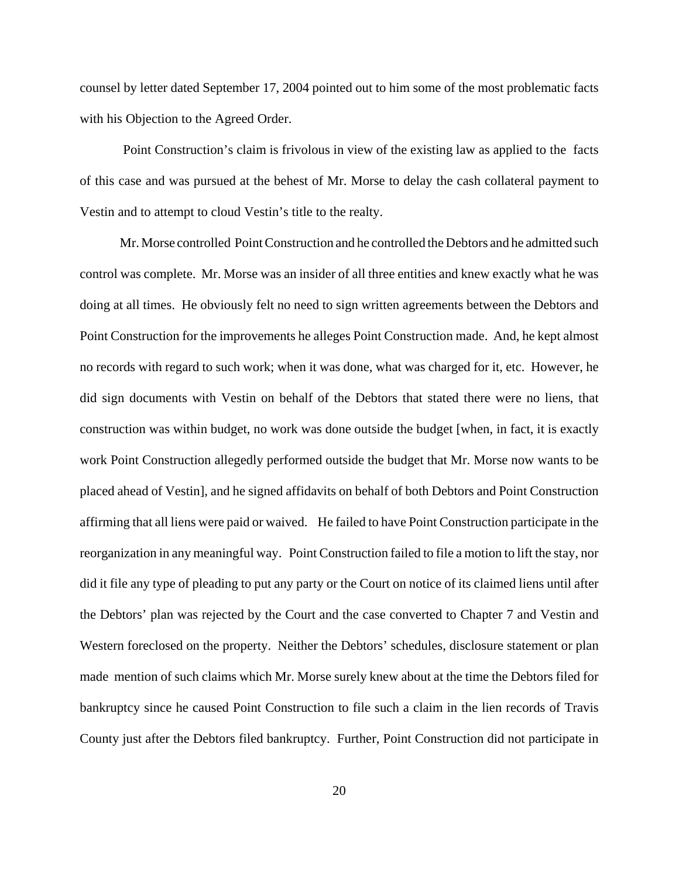counsel by letter dated September 17, 2004 pointed out to him some of the most problematic facts with his Objection to the Agreed Order.

 Point Construction's claim is frivolous in view of the existing law as applied to the facts of this case and was pursued at the behest of Mr. Morse to delay the cash collateral payment to Vestin and to attempt to cloud Vestin's title to the realty.

Mr. Morse controlled Point Construction and he controlled the Debtors and he admitted such control was complete. Mr. Morse was an insider of all three entities and knew exactly what he was doing at all times. He obviously felt no need to sign written agreements between the Debtors and Point Construction for the improvements he alleges Point Construction made. And, he kept almost no records with regard to such work; when it was done, what was charged for it, etc. However, he did sign documents with Vestin on behalf of the Debtors that stated there were no liens, that construction was within budget, no work was done outside the budget [when, in fact, it is exactly work Point Construction allegedly performed outside the budget that Mr. Morse now wants to be placed ahead of Vestin], and he signed affidavits on behalf of both Debtors and Point Construction affirming that all liens were paid or waived. He failed to have Point Construction participate in the reorganization in any meaningful way. Point Construction failed to file a motion to lift the stay, nor did it file any type of pleading to put any party or the Court on notice of its claimed liens until after the Debtors' plan was rejected by the Court and the case converted to Chapter 7 and Vestin and Western foreclosed on the property. Neither the Debtors' schedules, disclosure statement or plan made mention of such claims which Mr. Morse surely knew about at the time the Debtors filed for bankruptcy since he caused Point Construction to file such a claim in the lien records of Travis County just after the Debtors filed bankruptcy. Further, Point Construction did not participate in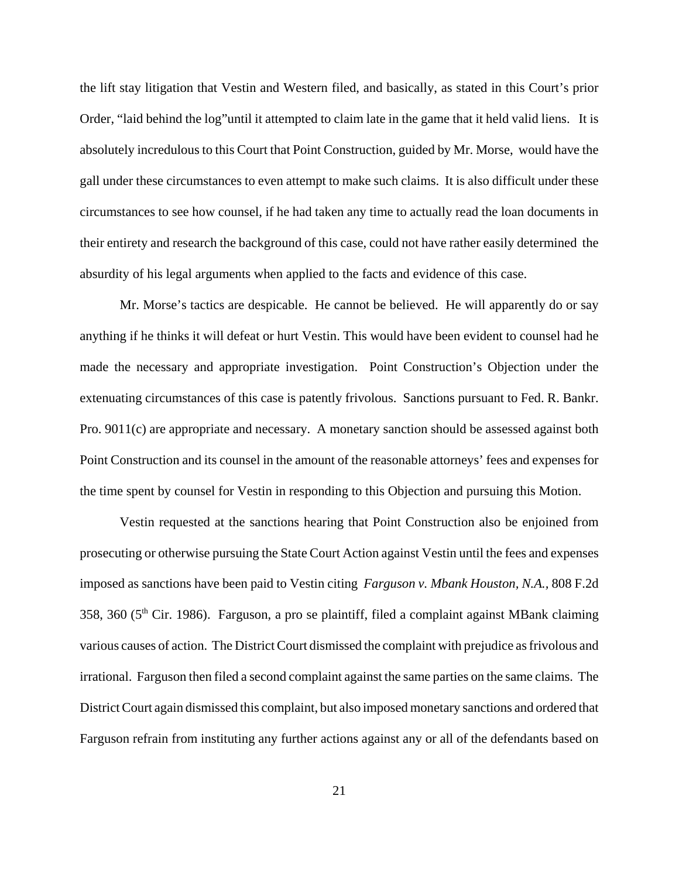the lift stay litigation that Vestin and Western filed, and basically, as stated in this Court's prior Order, "laid behind the log"until it attempted to claim late in the game that it held valid liens. It is absolutely incredulous to this Court that Point Construction, guided by Mr. Morse, would have the gall under these circumstances to even attempt to make such claims. It is also difficult under these circumstances to see how counsel, if he had taken any time to actually read the loan documents in their entirety and research the background of this case, could not have rather easily determined the absurdity of his legal arguments when applied to the facts and evidence of this case.

Mr. Morse's tactics are despicable. He cannot be believed. He will apparently do or say anything if he thinks it will defeat or hurt Vestin. This would have been evident to counsel had he made the necessary and appropriate investigation. Point Construction's Objection under the extenuating circumstances of this case is patently frivolous. Sanctions pursuant to Fed. R. Bankr. Pro. 9011(c) are appropriate and necessary. A monetary sanction should be assessed against both Point Construction and its counsel in the amount of the reasonable attorneys' fees and expenses for the time spent by counsel for Vestin in responding to this Objection and pursuing this Motion.

Vestin requested at the sanctions hearing that Point Construction also be enjoined from prosecuting or otherwise pursuing the State Court Action against Vestin until the fees and expenses imposed as sanctions have been paid to Vestin citing *Farguson v. Mbank Houston, N.A.,* 808 F.2d 358, 360 (5<sup>th</sup> Cir. 1986). Farguson, a pro se plaintiff, filed a complaint against MBank claiming various causes of action. The District Court dismissed the complaint with prejudice as frivolous and irrational. Farguson then filed a second complaint against the same parties on the same claims. The District Court again dismissed this complaint, but also imposed monetary sanctions and ordered that Farguson refrain from instituting any further actions against any or all of the defendants based on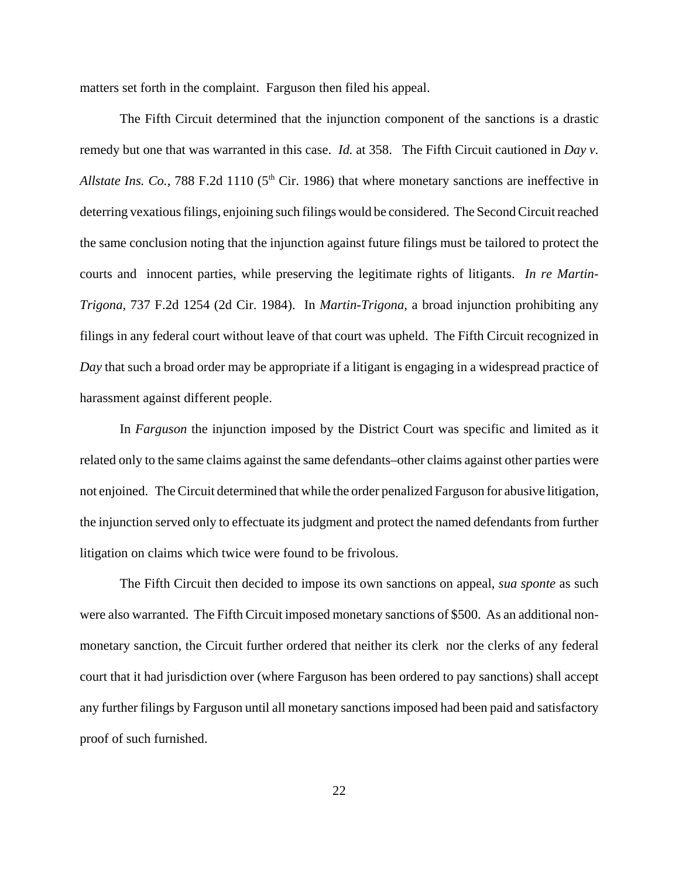matters set forth in the complaint. Farguson then filed his appeal.

The Fifth Circuit determined that the injunction component of the sanctions is a drastic remedy but one that was warranted in this case. *Id.* at 358. The Fifth Circuit cautioned in *Day v. Allstate Ins. Co., 788 F.2d 1110 (5<sup>th</sup> Cir. 1986) that where monetary sanctions are ineffective in* deterring vexatious filings, enjoining such filings would be considered. The Second Circuit reached the same conclusion noting that the injunction against future filings must be tailored to protect the courts and innocent parties, while preserving the legitimate rights of litigants. *In re Martin-Trigona,* 737 F.2d 1254 (2d Cir. 1984). In *Martin-Trigona,* a broad injunction prohibiting any filings in any federal court without leave of that court was upheld. The Fifth Circuit recognized in *Day* that such a broad order may be appropriate if a litigant is engaging in a widespread practice of harassment against different people.

In *Farguson* the injunction imposed by the District Court was specific and limited as it related only to the same claims against the same defendants–other claims against other parties were not enjoined. The Circuit determined that while the order penalized Farguson for abusive litigation, the injunction served only to effectuate its judgment and protect the named defendants from further litigation on claims which twice were found to be frivolous.

The Fifth Circuit then decided to impose its own sanctions on appeal, *sua sponte* as such were also warranted. The Fifth Circuit imposed monetary sanctions of \$500. As an additional nonmonetary sanction, the Circuit further ordered that neither its clerk nor the clerks of any federal court that it had jurisdiction over (where Farguson has been ordered to pay sanctions) shall accept any further filings by Farguson until all monetary sanctions imposed had been paid and satisfactory proof of such furnished.